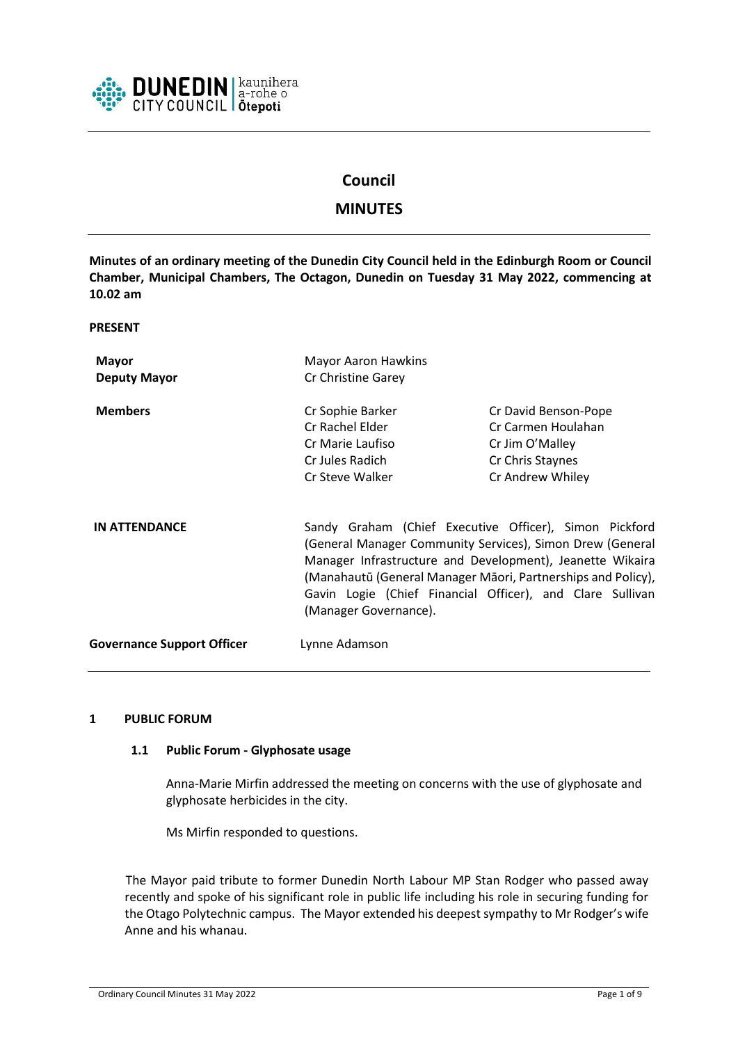

# **Council**

# **MINUTES**

**Minutes of an ordinary meeting of the Dunedin City Council held in the Edinburgh Room or Council Chamber, Municipal Chambers, The Octagon, Dunedin on Tuesday 31 May 2022, commencing at 10.02 am**

**PRESENT**

| <b>Mayor</b><br><b>Deputy Mayor</b> | <b>Mayor Aaron Hawkins</b><br>Cr Christine Garey                                                                                                                                                                                                                                                                                       |                                                                                                       |
|-------------------------------------|----------------------------------------------------------------------------------------------------------------------------------------------------------------------------------------------------------------------------------------------------------------------------------------------------------------------------------------|-------------------------------------------------------------------------------------------------------|
| <b>Members</b>                      | Cr Sophie Barker<br>Cr Rachel Elder<br>Cr Marie Laufiso<br>Cr Jules Radich<br>Cr Steve Walker                                                                                                                                                                                                                                          | Cr David Benson-Pope<br>Cr Carmen Houlahan<br>Cr Jim O'Malley<br>Cr Chris Staynes<br>Cr Andrew Whiley |
| <b>IN ATTENDANCE</b>                | Sandy Graham (Chief Executive Officer), Simon Pickford<br>(General Manager Community Services), Simon Drew (General<br>Manager Infrastructure and Development), Jeanette Wikaira<br>(Manahautū (General Manager Māori, Partnerships and Policy),<br>Gavin Logie (Chief Financial Officer), and Clare Sullivan<br>(Manager Governance). |                                                                                                       |
| <b>Governance Support Officer</b>   | Lynne Adamson                                                                                                                                                                                                                                                                                                                          |                                                                                                       |

#### **1 PUBLIC FORUM**

#### **1.1 Public Forum - Glyphosate usage**

Anna-Marie Mirfin addressed the meeting on concerns with the use of glyphosate and glyphosate herbicides in the city.

Ms Mirfin responded to questions.

The Mayor paid tribute to former Dunedin North Labour MP Stan Rodger who passed away recently and spoke of his significant role in public life including his role in securing funding for the Otago Polytechnic campus. The Mayor extended his deepest sympathy to Mr Rodger's wife Anne and his whanau.

Ordinary Council Minutes 31 May 2022 Page 1 of 9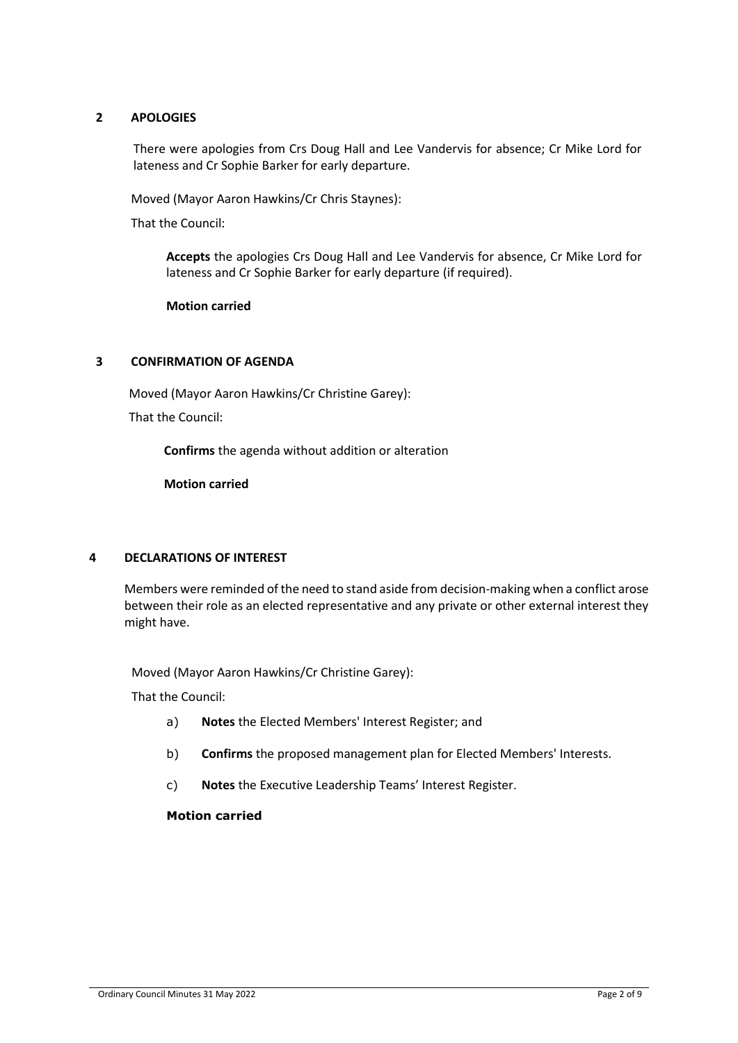# **2 APOLOGIES**

There were apologies from Crs Doug Hall and Lee Vandervis for absence; Cr Mike Lord for lateness and Cr Sophie Barker for early departure.

Moved (Mayor Aaron Hawkins/Cr Chris Staynes):

That the Council:

**Accepts** the apologies Crs Doug Hall and Lee Vandervis for absence, Cr Mike Lord for lateness and Cr Sophie Barker for early departure (if required).

#### **Motion carried**

### **3 CONFIRMATION OF AGENDA**

Moved (Mayor Aaron Hawkins/Cr Christine Garey):

That the Council:

**Confirms** the agenda without addition or alteration

**Motion carried**

### **4 DECLARATIONS OF INTEREST**

Members were reminded of the need to stand aside from decision-making when a conflict arose between their role as an elected representative and any private or other external interest they might have.

Moved (Mayor Aaron Hawkins/Cr Christine Garey):

That the Council:

- a) **Notes** the Elected Members' Interest Register; and
- b) **Confirms** the proposed management plan for Elected Members' Interests.
- c) **Notes** the Executive Leadership Teams' Interest Register.

### **Motion carried**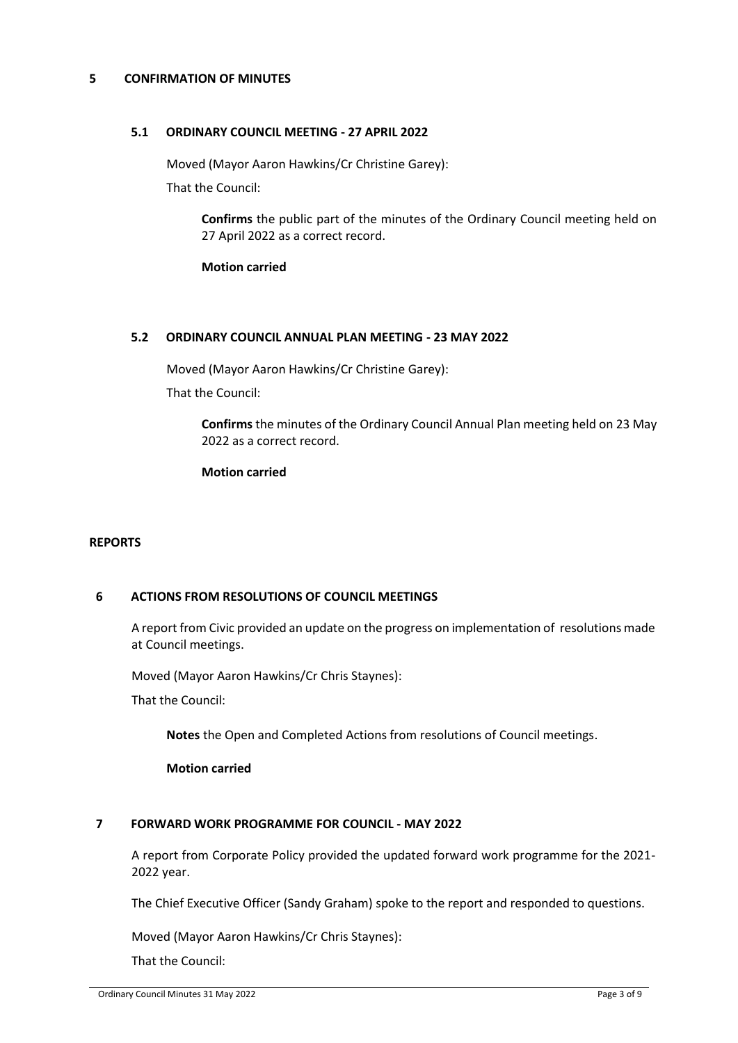#### **5 CONFIRMATION OF MINUTES**

#### **5.1 ORDINARY COUNCIL MEETING - 27 APRIL 2022**

Moved (Mayor Aaron Hawkins/Cr Christine Garey):

That the Council:

**Confirms** the public part of the minutes of the Ordinary Council meeting held on 27 April 2022 as a correct record.

**Motion carried**

#### **5.2 ORDINARY COUNCIL ANNUAL PLAN MEETING - 23 MAY 2022**

Moved (Mayor Aaron Hawkins/Cr Christine Garey):

That the Council:

**Confirms** the minutes of the Ordinary Council Annual Plan meeting held on 23 May 2022 as a correct record.

**Motion carried**

#### **REPORTS**

#### **6 ACTIONS FROM RESOLUTIONS OF COUNCIL MEETINGS**

A report from Civic provided an update on the progress on implementation of resolutions made at Council meetings.

Moved (Mayor Aaron Hawkins/Cr Chris Staynes):

That the Council:

**Notes** the Open and Completed Actions from resolutions of Council meetings.

**Motion carried**

#### **7 FORWARD WORK PROGRAMME FOR COUNCIL - MAY 2022**

A report from Corporate Policy provided the updated forward work programme for the 2021- 2022 year.

The Chief Executive Officer (Sandy Graham) spoke to the report and responded to questions.

Moved (Mayor Aaron Hawkins/Cr Chris Staynes):

That the Council: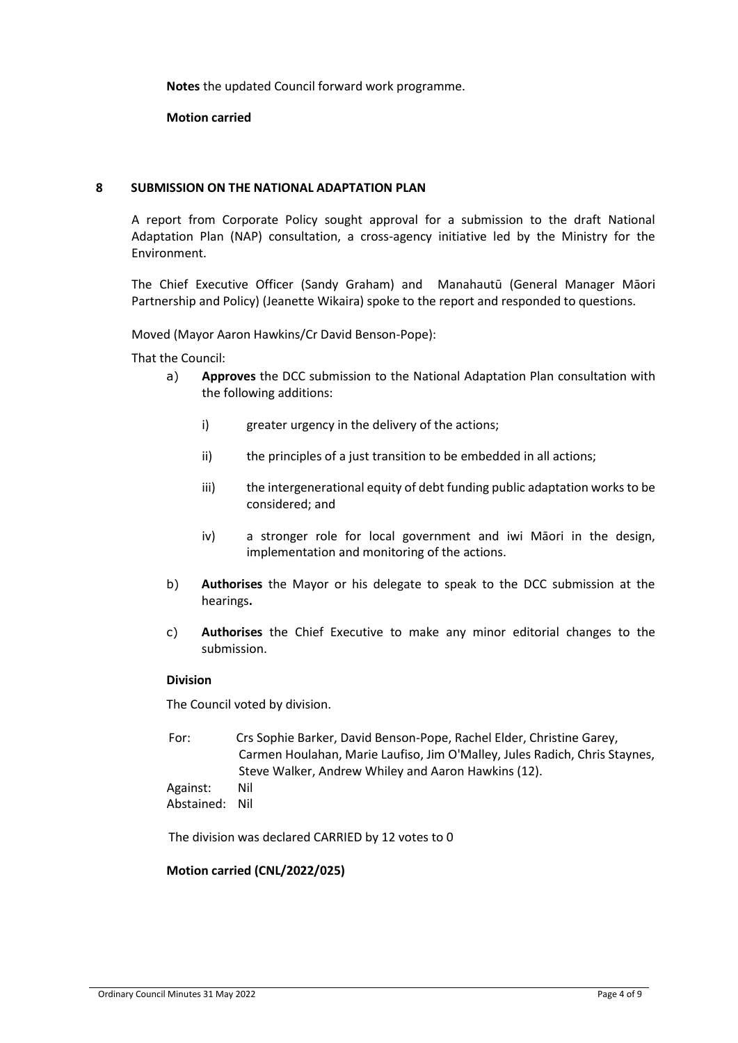**Notes** the updated Council forward work programme.

**Motion carried**

#### **8 SUBMISSION ON THE NATIONAL ADAPTATION PLAN**

A report from Corporate Policy sought approval for a submission to the draft National Adaptation Plan (NAP) consultation, a cross-agency initiative led by the Ministry for the Environment.

The Chief Executive Officer (Sandy Graham) and Manahautū (General Manager Māori Partnership and Policy) (Jeanette Wikaira) spoke to the report and responded to questions.

Moved (Mayor Aaron Hawkins/Cr David Benson-Pope):

That the Council:

- a) **Approves** the DCC submission to the National Adaptation Plan consultation with the following additions:
	- i) greater urgency in the delivery of the actions;
	- ii) the principles of a just transition to be embedded in all actions;
	- iii) the intergenerational equity of debt funding public adaptation works to be considered; and
	- iv) a stronger role for local government and iwi Māori in the design, implementation and monitoring of the actions.
- b) **Authorises** the Mayor or his delegate to speak to the DCC submission at the hearings**.**
- c) **Authorises** the Chief Executive to make any minor editorial changes to the submission.

#### **Division**

The Council voted by division.

For: Crs Sophie Barker, David Benson-Pope, Rachel Elder, Christine Garey, Carmen Houlahan, Marie Laufiso, Jim O'Malley, Jules Radich, Chris Staynes, Steve Walker, Andrew Whiley and Aaron Hawkins (12).

Against: Nil Abstained: Nil

The division was declared CARRIED by 12 votes to 0

#### **Motion carried (CNL/2022/025)**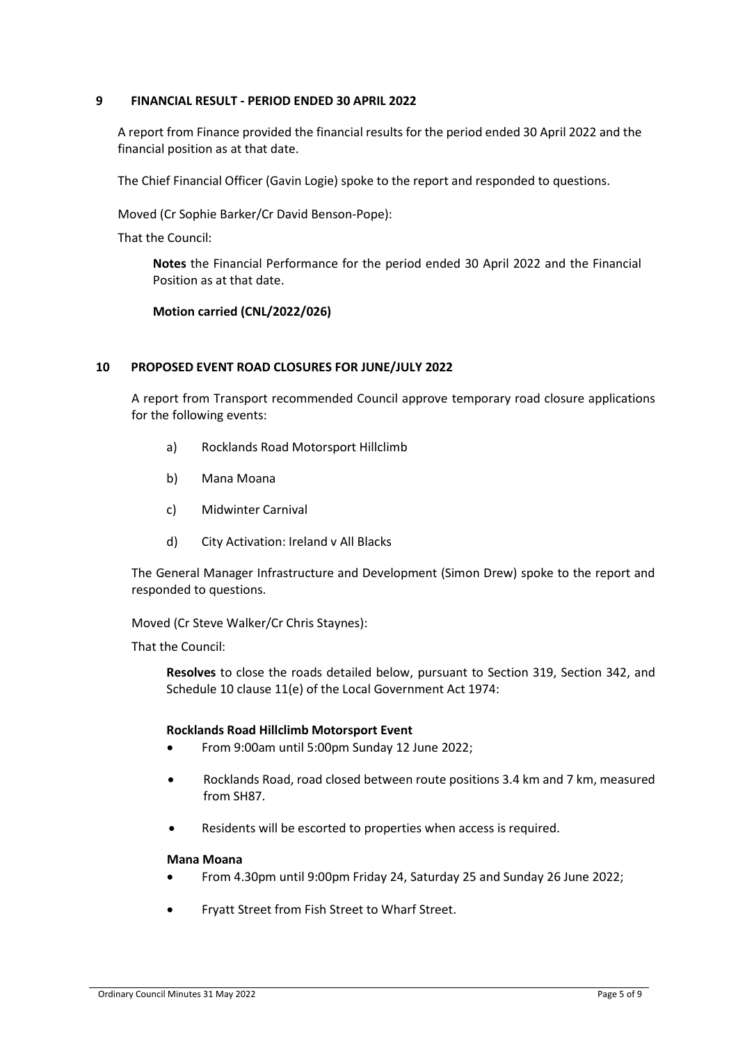### **9 FINANCIAL RESULT - PERIOD ENDED 30 APRIL 2022**

A report from Finance provided the financial results for the period ended 30 April 2022 and the financial position as at that date.

The Chief Financial Officer (Gavin Logie) spoke to the report and responded to questions.

Moved (Cr Sophie Barker/Cr David Benson-Pope):

That the Council:

**Notes** the Financial Performance for the period ended 30 April 2022 and the Financial Position as at that date.

# **Motion carried (CNL/2022/026)**

#### **10 PROPOSED EVENT ROAD CLOSURES FOR JUNE/JULY 2022**

A report from Transport recommended Council approve temporary road closure applications for the following events:

- a) Rocklands Road Motorsport Hillclimb
- b) Mana Moana
- c) Midwinter Carnival
- d) City Activation: Ireland v All Blacks

The General Manager Infrastructure and Development (Simon Drew) spoke to the report and responded to questions.

#### Moved (Cr Steve Walker/Cr Chris Staynes):

That the Council:

**Resolves** to close the roads detailed below, pursuant to Section 319, Section 342, and Schedule 10 clause 11(e) of the Local Government Act 1974:

#### **Rocklands Road Hillclimb Motorsport Event**

- From 9:00am until 5:00pm Sunday 12 June 2022;
- Rocklands Road, road closed between route positions 3.4 km and 7 km, measured from SH87.
- Residents will be escorted to properties when access is required.

#### **Mana Moana**

- From 4.30pm until 9:00pm Friday 24, Saturday 25 and Sunday 26 June 2022;
- Fryatt Street from Fish Street to Wharf Street.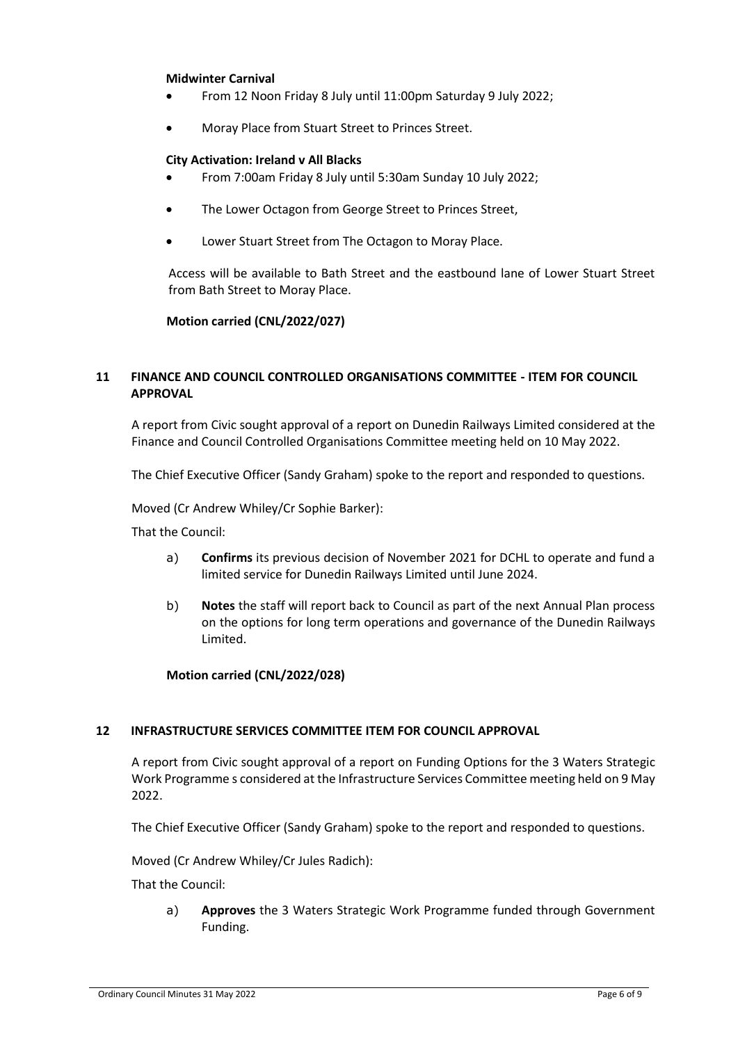#### **Midwinter Carnival**

- From 12 Noon Friday 8 July until 11:00pm Saturday 9 July 2022;
- Moray Place from Stuart Street to Princes Street.

#### **City Activation: Ireland v All Blacks**

- From 7:00am Friday 8 July until 5:30am Sunday 10 July 2022;
- The Lower Octagon from George Street to Princes Street,
- Lower Stuart Street from The Octagon to Moray Place.

Access will be available to Bath Street and the eastbound lane of Lower Stuart Street from Bath Street to Moray Place.

#### **Motion carried (CNL/2022/027)**

# **11 FINANCE AND COUNCIL CONTROLLED ORGANISATIONS COMMITTEE - ITEM FOR COUNCIL APPROVAL**

A report from Civic sought approval of a report on Dunedin Railways Limited considered at the Finance and Council Controlled Organisations Committee meeting held on 10 May 2022.

The Chief Executive Officer (Sandy Graham) spoke to the report and responded to questions.

Moved (Cr Andrew Whiley/Cr Sophie Barker):

That the Council:

- a) **Confirms** its previous decision of November 2021 for DCHL to operate and fund a limited service for Dunedin Railways Limited until June 2024.
- b) **Notes** the staff will report back to Council as part of the next Annual Plan process on the options for long term operations and governance of the Dunedin Railways Limited.

#### **Motion carried (CNL/2022/028)**

#### **12 INFRASTRUCTURE SERVICES COMMITTEE ITEM FOR COUNCIL APPROVAL**

A report from Civic sought approval of a report on Funding Options for the 3 Waters Strategic Work Programme s considered at the Infrastructure Services Committee meeting held on 9 May 2022.

The Chief Executive Officer (Sandy Graham) spoke to the report and responded to questions.

Moved (Cr Andrew Whiley/Cr Jules Radich):

That the Council:

a) **Approves** the 3 Waters Strategic Work Programme funded through Government Funding.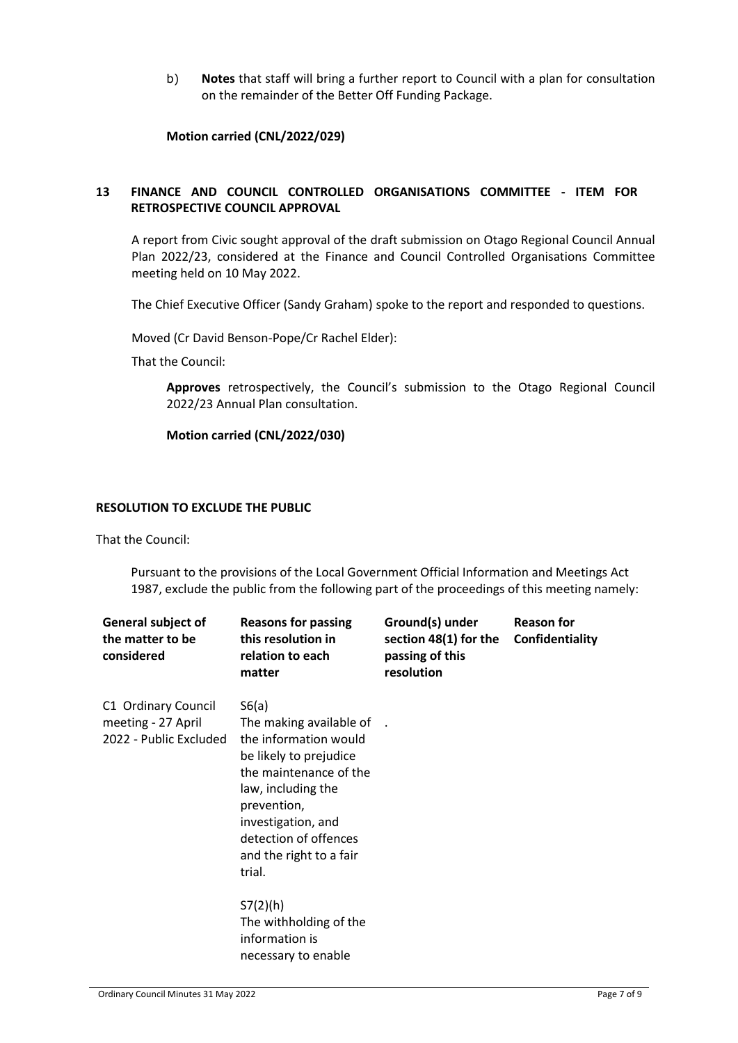b) **Notes** that staff will bring a further report to Council with a plan for consultation on the remainder of the Better Off Funding Package.

**Motion carried (CNL/2022/029)**

# **13 FINANCE AND COUNCIL CONTROLLED ORGANISATIONS COMMITTEE - ITEM FOR RETROSPECTIVE COUNCIL APPROVAL**

A report from Civic sought approval of the draft submission on Otago Regional Council Annual Plan 2022/23, considered at the Finance and Council Controlled Organisations Committee meeting held on 10 May 2022.

The Chief Executive Officer (Sandy Graham) spoke to the report and responded to questions.

Moved (Cr David Benson-Pope/Cr Rachel Elder):

That the Council:

**Approves** retrospectively, the Council's submission to the Otago Regional Council 2022/23 Annual Plan consultation.

**Motion carried (CNL/2022/030)**

#### **RESOLUTION TO EXCLUDE THE PUBLIC**

That the Council:

Pursuant to the provisions of the Local Government Official Information and Meetings Act 1987, exclude the public from the following part of the proceedings of this meeting namely:

| <b>General subject of</b><br>the matter to be<br>considered         | <b>Reasons for passing</b><br>this resolution in<br>relation to each<br>matter                                                                                                                                                         | Ground(s) under<br>section 48(1) for the<br>passing of this<br>resolution | <b>Reason for</b><br>Confidentiality |
|---------------------------------------------------------------------|----------------------------------------------------------------------------------------------------------------------------------------------------------------------------------------------------------------------------------------|---------------------------------------------------------------------------|--------------------------------------|
| C1 Ordinary Council<br>meeting - 27 April<br>2022 - Public Excluded | S6(a)<br>The making available of<br>the information would<br>be likely to prejudice<br>the maintenance of the<br>law, including the<br>prevention,<br>investigation, and<br>detection of offences<br>and the right to a fair<br>trial. |                                                                           |                                      |
|                                                                     | S7(2)(h)<br>The withholding of the<br>information is<br>necessary to enable                                                                                                                                                            |                                                                           |                                      |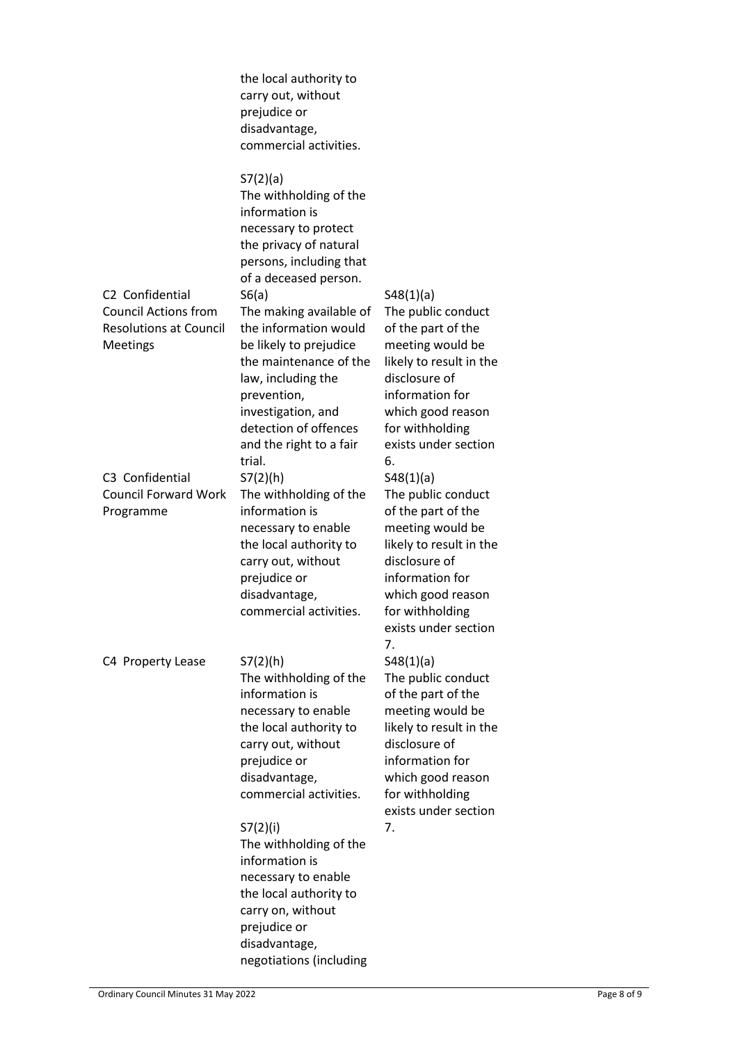|                                                                                                                                                                        | the local authority to<br>carry out, without<br>prejudice or<br>disadvantage,<br>commercial activities.                                                                                                                                                                                                                                                                                                                                                                                                                                                                                        |                                                                                                                                                                                                                                                                                                                                                                                                                                  |
|------------------------------------------------------------------------------------------------------------------------------------------------------------------------|------------------------------------------------------------------------------------------------------------------------------------------------------------------------------------------------------------------------------------------------------------------------------------------------------------------------------------------------------------------------------------------------------------------------------------------------------------------------------------------------------------------------------------------------------------------------------------------------|----------------------------------------------------------------------------------------------------------------------------------------------------------------------------------------------------------------------------------------------------------------------------------------------------------------------------------------------------------------------------------------------------------------------------------|
| C <sub>2</sub> Confidential<br><b>Council Actions from</b><br><b>Resolutions at Council</b><br>Meetings<br>C3 Confidential<br><b>Council Forward Work</b><br>Programme | S7(2)(a)<br>The withholding of the<br>information is<br>necessary to protect<br>the privacy of natural<br>persons, including that<br>of a deceased person.<br>S6(a)<br>The making available of<br>the information would<br>be likely to prejudice<br>the maintenance of the<br>law, including the<br>prevention,<br>investigation, and<br>detection of offences<br>and the right to a fair<br>trial.<br>S7(2)(h)<br>The withholding of the<br>information is<br>necessary to enable<br>the local authority to<br>carry out, without<br>prejudice or<br>disadvantage,<br>commercial activities. | S48(1)(a)<br>The public conduct<br>of the part of the<br>meeting would be<br>likely to result in the<br>disclosure of<br>information for<br>which good reason<br>for withholding<br>exists under section<br>6.<br>S48(1)(a)<br>The public conduct<br>of the part of the<br>meeting would be<br>likely to result in the<br>disclosure of<br>information for<br>which good reason<br>for withholding<br>exists under section<br>7. |
| C4 Property Lease                                                                                                                                                      | S7(2)(h)<br>The withholding of the<br>information is<br>necessary to enable<br>the local authority to<br>carry out, without<br>prejudice or<br>disadvantage,<br>commercial activities.<br>S7(2)(i)<br>The withholding of the<br>information is<br>necessary to enable<br>the local authority to<br>carry on, without<br>prejudice or<br>disadvantage,<br>negotiations (including                                                                                                                                                                                                               | S48(1)(a)<br>The public conduct<br>of the part of the<br>meeting would be<br>likely to result in the<br>disclosure of<br>information for<br>which good reason<br>for withholding<br>exists under section<br>7.                                                                                                                                                                                                                   |